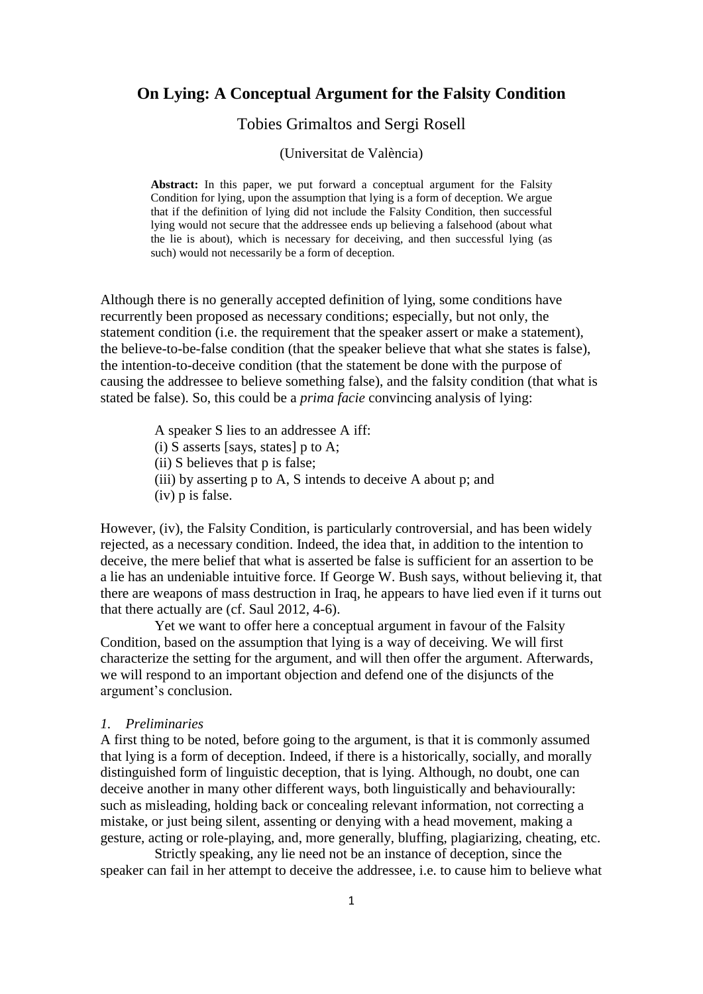# **On Lying: A Conceptual Argument for the Falsity Condition**

Tobies Grimaltos and Sergi Rosell

(Universitat de València)

**Abstract:** In this paper, we put forward a conceptual argument for the Falsity Condition for lying, upon the assumption that lying is a form of deception. We argue that if the definition of lying did not include the Falsity Condition, then successful lying would not secure that the addressee ends up believing a falsehood (about what the lie is about), which is necessary for deceiving, and then successful lying (as such) would not necessarily be a form of deception.

Although there is no generally accepted definition of lying, some conditions have recurrently been proposed as necessary conditions; especially, but not only, the statement condition (i.e. the requirement that the speaker assert or make a statement), the believe-to-be-false condition (that the speaker believe that what she states is false), the intention-to-deceive condition (that the statement be done with the purpose of causing the addressee to believe something false), and the falsity condition (that what is stated be false). So, this could be a *prima facie* convincing analysis of lying:

A speaker S lies to an addressee A iff:

- (i) S asserts [says, states]  $p$  to A;
- (ii) S believes that p is false;
- (iii) by asserting p to A, S intends to deceive A about p; and
- (iv) p is false.

However, (iv), the Falsity Condition, is particularly controversial, and has been widely rejected, as a necessary condition. Indeed, the idea that, in addition to the intention to deceive, the mere belief that what is asserted be false is sufficient for an assertion to be a lie has an undeniable intuitive force. If George W. Bush says, without believing it, that there are weapons of mass destruction in Iraq, he appears to have lied even if it turns out that there actually are (cf. Saul 2012, 4-6).

Yet we want to offer here a conceptual argument in favour of the Falsity Condition, based on the assumption that lying is a way of deceiving. We will first characterize the setting for the argument, and will then offer the argument. Afterwards, we will respond to an important objection and defend one of the disjuncts of the argument's conclusion.

### *1. Preliminaries*

A first thing to be noted, before going to the argument, is that it is commonly assumed that lying is a form of deception. Indeed, if there is a historically, socially, and morally distinguished form of linguistic deception, that is lying. Although, no doubt, one can deceive another in many other different ways, both linguistically and behaviourally: such as misleading, holding back or concealing relevant information, not correcting a mistake, or just being silent, assenting or denying with a head movement, making a gesture, acting or role-playing, and, more generally, bluffing, plagiarizing, cheating, etc.

Strictly speaking, any lie need not be an instance of deception, since the speaker can fail in her attempt to deceive the addressee, i.e. to cause him to believe what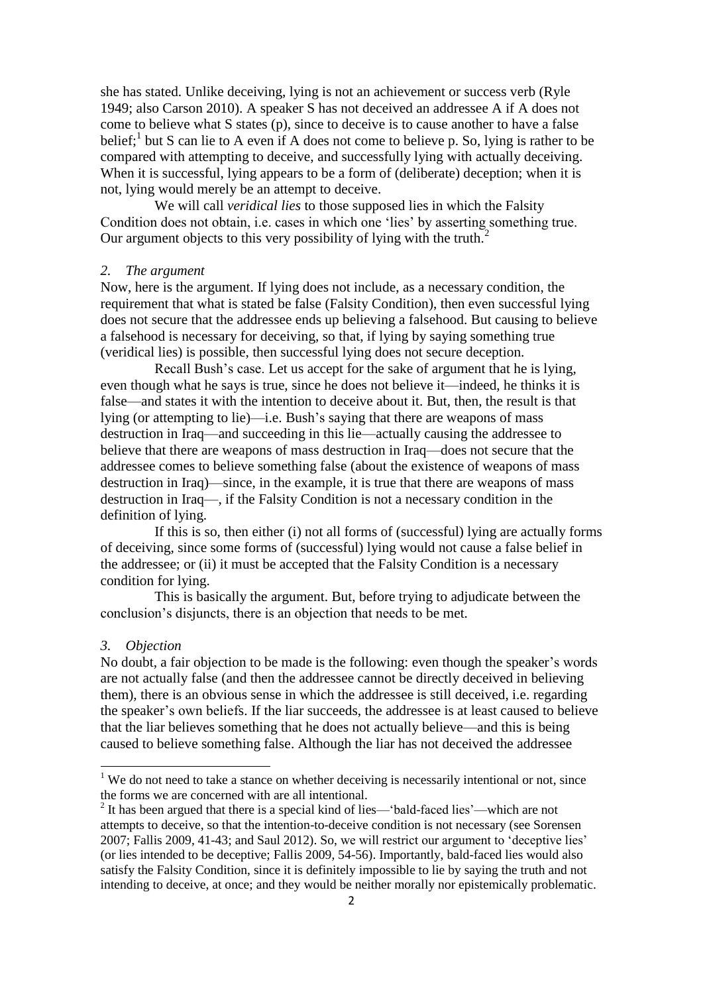she has stated. Unlike deceiving, lying is not an achievement or success verb (Ryle 1949; also Carson 2010). A speaker S has not deceived an addressee A if A does not come to believe what S states (p), since to deceive is to cause another to have a false belief;<sup>1</sup> but S can lie to A even if A does not come to believe p. So, lying is rather to be compared with attempting to deceive, and successfully lying with actually deceiving. When it is successful, lying appears to be a form of (deliberate) deception; when it is not, lying would merely be an attempt to deceive.

We will call *veridical lies* to those supposed lies in which the Falsity Condition does not obtain, i.e. cases in which one 'lies' by asserting something true. Our argument objects to this very possibility of lying with the truth.<sup>2</sup>

## *2. The argument*

Now, here is the argument. If lying does not include, as a necessary condition, the requirement that what is stated be false (Falsity Condition), then even successful lying does not secure that the addressee ends up believing a falsehood. But causing to believe a falsehood is necessary for deceiving, so that, if lying by saying something true (veridical lies) is possible, then successful lying does not secure deception.

Recall Bush's case. Let us accept for the sake of argument that he is lying, even though what he says is true, since he does not believe it—indeed, he thinks it is false—and states it with the intention to deceive about it. But, then, the result is that lying (or attempting to lie)—i.e. Bush's saying that there are weapons of mass destruction in Iraq—and succeeding in this lie—actually causing the addressee to believe that there are weapons of mass destruction in Iraq—does not secure that the addressee comes to believe something false (about the existence of weapons of mass destruction in Iraq)—since, in the example, it is true that there are weapons of mass destruction in Iraq—, if the Falsity Condition is not a necessary condition in the definition of lying.

If this is so, then either (i) not all forms of (successful) lying are actually forms of deceiving, since some forms of (successful) lying would not cause a false belief in the addressee; or (ii) it must be accepted that the Falsity Condition is a necessary condition for lying.

This is basically the argument. But, before trying to adjudicate between the conclusion's disjuncts, there is an objection that needs to be met.

#### *3. Objection*

 $\overline{a}$ 

No doubt, a fair objection to be made is the following: even though the speaker's words are not actually false (and then the addressee cannot be directly deceived in believing them), there is an obvious sense in which the addressee is still deceived, i.e. regarding the speaker's own beliefs. If the liar succeeds, the addressee is at least caused to believe that the liar believes something that he does not actually believe—and this is being caused to believe something false. Although the liar has not deceived the addressee

 $1$  We do not need to take a stance on whether deceiving is necessarily intentional or not, since the forms we are concerned with are all intentional.

 $2$  It has been argued that there is a special kind of lies—'bald-faced lies'—which are not attempts to deceive, so that the intention-to-deceive condition is not necessary (see Sorensen 2007; Fallis 2009, 41-43; and Saul 2012). So, we will restrict our argument to 'deceptive lies' (or lies intended to be deceptive; Fallis 2009, 54-56). Importantly, bald-faced lies would also satisfy the Falsity Condition, since it is definitely impossible to lie by saying the truth and not intending to deceive, at once; and they would be neither morally nor epistemically problematic.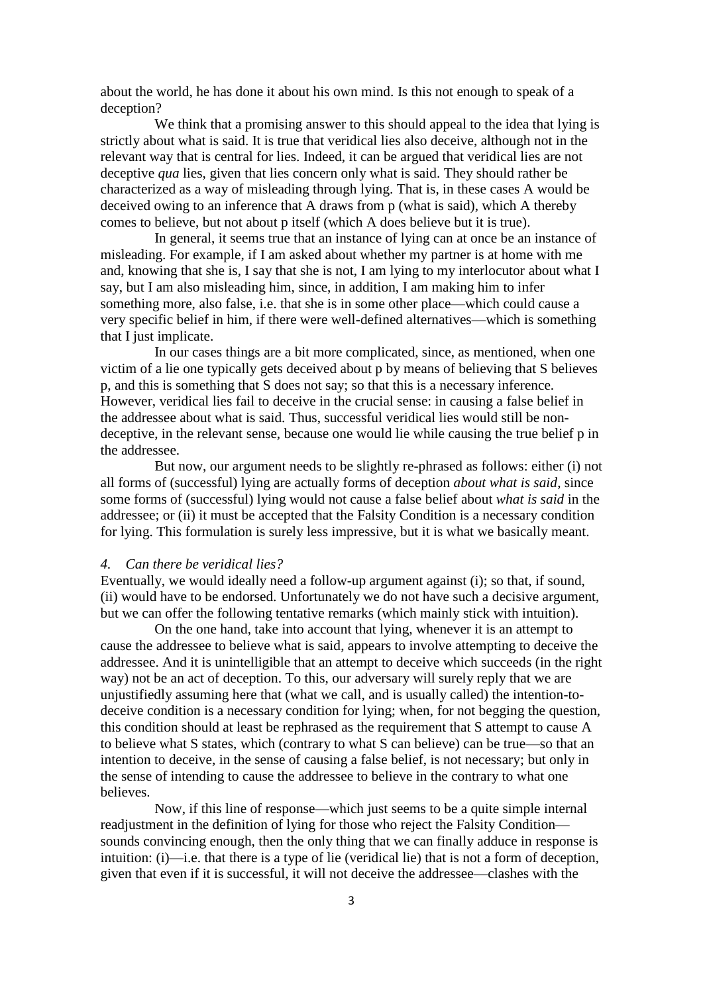about the world, he has done it about his own mind. Is this not enough to speak of a deception?

We think that a promising answer to this should appeal to the idea that lying is strictly about what is said. It is true that veridical lies also deceive, although not in the relevant way that is central for lies. Indeed, it can be argued that veridical lies are not deceptive *qua* lies, given that lies concern only what is said. They should rather be characterized as a way of misleading through lying. That is, in these cases A would be deceived owing to an inference that A draws from p (what is said), which A thereby comes to believe, but not about p itself (which A does believe but it is true).

In general, it seems true that an instance of lying can at once be an instance of misleading. For example, if I am asked about whether my partner is at home with me and, knowing that she is, I say that she is not, I am lying to my interlocutor about what I say, but I am also misleading him, since, in addition, I am making him to infer something more, also false, i.e. that she is in some other place—which could cause a very specific belief in him, if there were well-defined alternatives—which is something that I just implicate.

In our cases things are a bit more complicated, since, as mentioned, when one victim of a lie one typically gets deceived about p by means of believing that S believes p, and this is something that S does not say; so that this is a necessary inference. However, veridical lies fail to deceive in the crucial sense: in causing a false belief in the addressee about what is said. Thus, successful veridical lies would still be nondeceptive, in the relevant sense, because one would lie while causing the true belief p in the addressee.

But now, our argument needs to be slightly re-phrased as follows: either (i) not all forms of (successful) lying are actually forms of deception *about what is said*, since some forms of (successful) lying would not cause a false belief about *what is said* in the addressee; or (ii) it must be accepted that the Falsity Condition is a necessary condition for lying. This formulation is surely less impressive, but it is what we basically meant.

## *4. Can there be veridical lies?*

Eventually, we would ideally need a follow-up argument against (i); so that, if sound, (ii) would have to be endorsed. Unfortunately we do not have such a decisive argument, but we can offer the following tentative remarks (which mainly stick with intuition).

On the one hand, take into account that lying, whenever it is an attempt to cause the addressee to believe what is said, appears to involve attempting to deceive the addressee. And it is unintelligible that an attempt to deceive which succeeds (in the right way) not be an act of deception. To this, our adversary will surely reply that we are unjustifiedly assuming here that (what we call, and is usually called) the intention-todeceive condition is a necessary condition for lying; when, for not begging the question, this condition should at least be rephrased as the requirement that S attempt to cause A to believe what S states, which (contrary to what S can believe) can be true—so that an intention to deceive, in the sense of causing a false belief, is not necessary; but only in the sense of intending to cause the addressee to believe in the contrary to what one believes.

Now, if this line of response—which just seems to be a quite simple internal readjustment in the definition of lying for those who reject the Falsity Condition sounds convincing enough, then the only thing that we can finally adduce in response is intuition: (i)—i.e. that there is a type of lie (veridical lie) that is not a form of deception, given that even if it is successful, it will not deceive the addressee—clashes with the